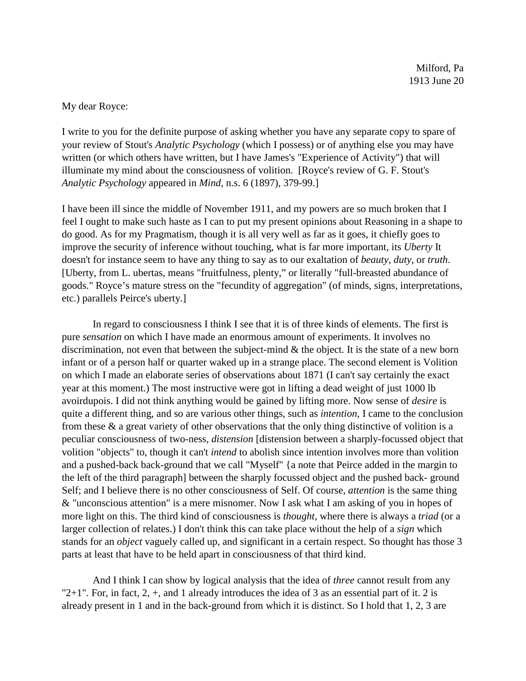## My dear Royce:

I write to you for the definite purpose of asking whether you have any separate copy to spare of your review of Stout's *Analytic Psychology* (which I possess) or of anything else you may have written (or which others have written, but I have James's "Experience of Activity") that will illuminate my mind about the consciousness of volition. [Royce's review of G. F. Stout's *Analytic Psychology* appeared in *Mind*, n.s. 6 (1897), 379-99.]

I have been ill since the middle of November 1911, and my powers are so much broken that I feel I ought to make such haste as I can to put my present opinions about Reasoning in a shape to do good. As for my Pragmatism, though it is all very well as far as it goes, it chiefly goes to improve the security of inference without touching, what is far more important, its *Uberty* It doesn't for instance seem to have any thing to say as to our exaltation of *beauty, duty*, or *truth*. [Uberty, from L. ubertas, means "fruitfulness, plenty," or literally "full-breasted abundance of goods." Royce's mature stress on the "fecundity of aggregation" (of minds, signs, interpretations, etc.) parallels Peirce's uberty.]

In regard to consciousness I think I see that it is of three kinds of elements. The first is pure *sensation* on which I have made an enormous amount of experiments. It involves no discrimination, not even that between the subject-mind & the object. It is the state of a new born infant or of a person half or quarter waked up in a strange place. The second element is Volition on which I made an elaborate series of observations about 1871 (I can't say certainly the exact year at this moment.) The most instructive were got in lifting a dead weight of just 1000 lb avoirdupois. I did not think anything would be gained by lifting more. Now sense of *desire* is quite a different thing, and so are various other things, such as *intention*, I came to the conclusion from these & a great variety of other observations that the only thing distinctive of volition is a peculiar consciousness of two-ness, *distension* [distension between a sharply-focussed object that volition "objects" to, though it can't *intend* to abolish since intention involves more than volition and a pushed-back back-ground that we call "Myself" {a note that Peirce added in the margin to the left of the third paragraph] between the sharply focussed object and the pushed back- ground Self; and I believe there is no other consciousness of Self. Of course, *attention* is the same thing & "unconscious attention" is a mere misnomer. Now I ask what I am asking of you in hopes of more light on this. The third kind of consciousness is *thought*, where there is always a *triad* (or a larger collection of relates.) I don't think this can take place without the help of a *sign* which stands for an *object* vaguely called up, and significant in a certain respect. So thought has those 3 parts at least that have to be held apart in consciousness of that third kind.

And I think I can show by logical analysis that the idea of *three* cannot result from any " $2+1$ ". For, in fact,  $2, +$ , and 1 already introduces the idea of 3 as an essential part of it. 2 is already present in 1 and in the back-ground from which it is distinct. So I hold that 1, 2, 3 are